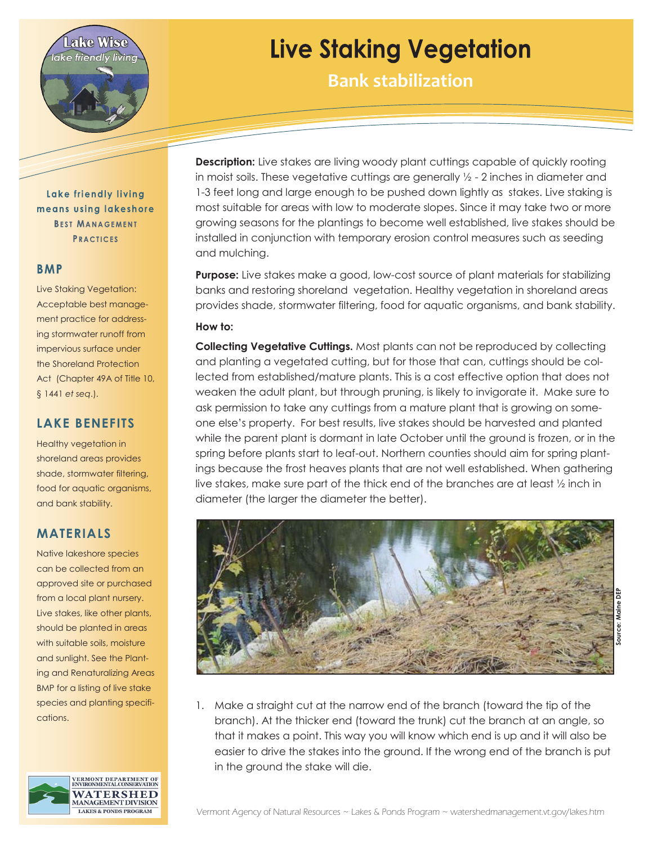

# **Live Staking Vegetation**

**Bank stabilization**

Lake friendly living means using lakeshore **BEST MANAGEMENT PRACTICES** 

#### **BMP**

Live Staking Vegetation: Acceptable best management practice for addressing stormwater runoff from impervious surface under the Shoreland Protection Act (Chapter 49A of Title 10, § 1441 *et seq*.).

## **LAKE BENEFITS**

Healthy vegetation in shoreland areas provides shade, stormwater filtering, food for aquatic organisms, and bank stability.

### **MATERIALS**

Native lakeshore species can be collected from an approved site or purchased from a local plant nursery. Live stakes, like other plants, should be planted in areas with suitable soils, moisture and sunlight. See the Planting and Renaturalizing Areas BMP for a listing of live stake species and planting specifications.



**Description:** Live stakes are living woody plant cuttings capable of quickly rooting in moist soils. These vegetative cuttings are generally  $\frac{1}{2}$  - 2 inches in diameter and 1-3 feet long and large enough to be pushed down lightly as stakes. Live staking is most suitable for areas with low to moderate slopes. Since it may take two or more growing seasons for the plantings to become well established, live stakes should be installed in conjunction with temporary erosion control measures such as seeding and mulching.

**Purpose:** Live stakes make a good, low-cost source of plant materials for stabilizing banks and restoring shoreland vegetation. Healthy vegetation in shoreland areas provides shade, stormwater filtering, food for aquatic organisms, and bank stability.

#### **How to:**

**Collecting Vegetative Cuttings.** Most plants can not be reproduced by collecting and planting a vegetated cutting, but for those that can, cuttings should be collected from established/mature plants. This is a cost effective option that does not weaken the adult plant, but through pruning, is likely to invigorate it. Make sure to ask permission to take any cuttings from a mature plant that is growing on someone else's property. For best results, live stakes should be harvested and planted while the parent plant is dormant in late October until the ground is frozen, or in the spring before plants start to leaf-out. Northern counties should aim for spring plantings because the frost heaves plants that are not well established. When gathering live stakes, make sure part of the thick end of the branches are at least ½ inch in diameter (the larger the diameter the better).



1. Make a straight cut at the narrow end of the branch (toward the tip of the branch). At the thicker end (toward the trunk) cut the branch at an angle, so that it makes a point. This way you will know which end is up and it will also be easier to drive the stakes into the ground. If the wrong end of the branch is put in the ground the stake will die.